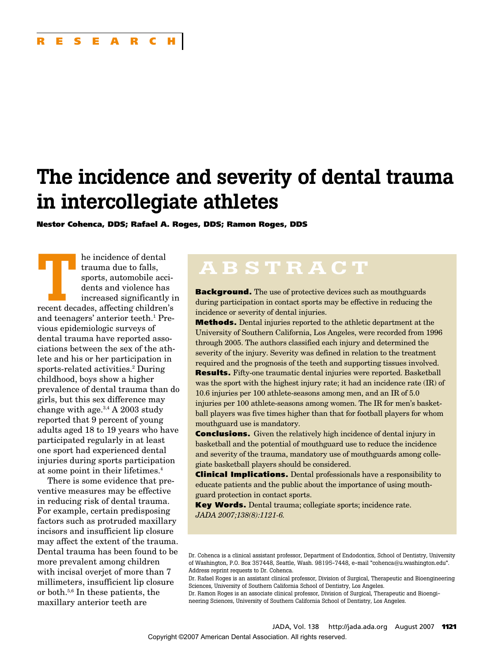# **The incidence and severity of dental trauma in intercollegiate athletes**

**Nestor Cohenca, DDS; Rafael A. Roges, DDS; Ramon Roges, DDS**

**TREAD FEE ACTES AND REGISTER AND REGISTANCE CONTROLLER AND RECEIVED AND RECEIVED AND RECEIVED AND RECEIVED AND RECEIVED AND RECEIVED AND RECEIVED AND RECEIVED AND RECEIVED AND RECEIVED AND RECEIVED AND RECEIVED AND RECEIV** trauma due to falls, sports, automobile accidents and violence has increased significantly in and teenagers' anterior teeth.<sup>1</sup> Previous epidemiologic surveys of dental trauma have reported associations between the sex of the athlete and his or her participation in sports-related activities.<sup>2</sup> During childhood, boys show a higher prevalence of dental trauma than do girls, but this sex difference may change with age. $3,4$  A 2003 study reported that 9 percent of young adults aged 18 to 19 years who have participated regularly in at least one sport had experienced dental injuries during sports participation at some point in their lifetimes.4

There is some evidence that preventive measures may be effective in reducing risk of dental trauma. For example, certain predisposing factors such as protruded maxillary incisors and insufficient lip closure may affect the extent of the trauma. Dental trauma has been found to be more prevalent among children with incisal overjet of more than 7 millimeters, insufficient lip closure or both.5,6 In these patients, the maxillary anterior teeth are

# **ABSTRACT**

**Background.** The use of protective devices such as mouthguards during participation in contact sports may be effective in reducing the incidence or severity of dental injuries.

**Methods.** Dental injuries reported to the athletic department at the University of Southern California, Los Angeles, were recorded from 1996 through 2005. The authors classified each injury and determined the severity of the injury. Severity was defined in relation to the treatment required and the prognosis of the teeth and supporting tissues involved. **Results.** Fifty-one traumatic dental injuries were reported. Basketball was the sport with the highest injury rate; it had an incidence rate (IR) of 10.6 injuries per 100 athlete-seasons among men, and an IR of 5.0 injuries per 100 athlete-seasons among women. The IR for men's basketball players was five times higher than that for football players for whom mouthguard use is mandatory.

**Conclusions.** Given the relatively high incidence of dental injury in basketball and the potential of mouthguard use to reduce the incidence and severity of the trauma, mandatory use of mouthguards among collegiate basketball players should be considered.

**Clinical Implications.** Dental professionals have a responsibility to educate patients and the public about the importance of using mouthguard protection in contact sports.

**Key Words.** Dental trauma; collegiate sports; incidence rate. *JADA 2007;138(8):1121-6.*

Dr. Cohenca is a clinical assistant professor, Department of Endodontics, School of Dentistry, University of Washington, P.O. Box 357448, Seattle, Wash. 98195-7448, e-mail "cohenca@u.washington.edu". Address reprint requests to Dr. Cohenca.

Dr. Rafael Roges is an assistant clinical professor, Division of Surgical, Therapeutic and Bioengineering Sciences, University of Southern California School of Dentistry, Los Angeles. Dr. Ramon Roges is an associate clinical professor, Division of Surgical, Therapeutic and Bioengi-

neering Sciences, University of Southern California School of Dentistry, Los Angeles.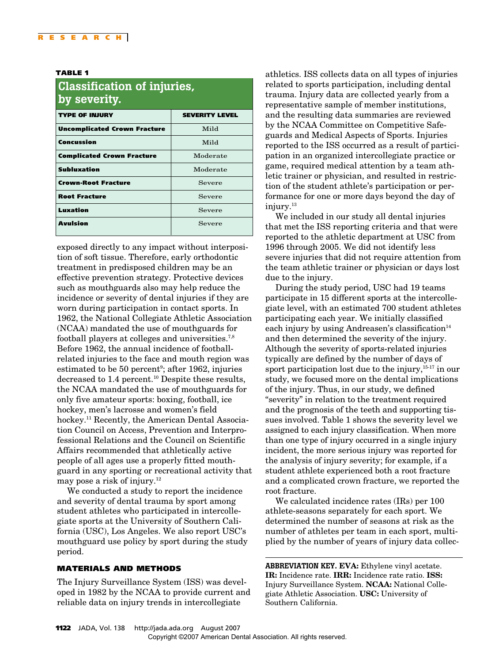#### **TABLE 1**

| <b>Classification of injuries,</b><br>by severity. |                       |  |  |  |
|----------------------------------------------------|-----------------------|--|--|--|
| <b>TYPE OF INJURY</b>                              | <b>SEVERITY LEVEL</b> |  |  |  |
| <b>Uncomplicated Crown Fracture</b>                | Mild                  |  |  |  |
| Concussion                                         | Mild                  |  |  |  |
| <b>Complicated Crown Fracture</b>                  | Moderate              |  |  |  |
| <b>Subluxation</b>                                 | Moderate              |  |  |  |
| <b>Crown-Root Fracture</b>                         | Severe                |  |  |  |
| <b>Root Fracture</b>                               | Severe                |  |  |  |
| Luxation                                           | Severe                |  |  |  |
| Avulsion                                           | Severe                |  |  |  |

exposed directly to any impact without interposition of soft tissue. Therefore, early orthodontic treatment in predisposed children may be an effective prevention strategy. Protective devices such as mouthguards also may help reduce the incidence or severity of dental injuries if they are worn during participation in contact sports. In 1962, the National Collegiate Athletic Association (NCAA) mandated the use of mouthguards for football players at colleges and universities.7,8 Before 1962, the annual incidence of footballrelated injuries to the face and mouth region was estimated to be 50 percent<sup>9</sup>; after 1962, injuries decreased to 1.4 percent.<sup>10</sup> Despite these results, the NCAA mandated the use of mouthguards for only five amateur sports: boxing, football, ice hockey, men's lacrosse and women's field hockey.<sup>11</sup> Recently, the American Dental Association Council on Access, Prevention and Interprofessional Relations and the Council on Scientific Affairs recommended that athletically active people of all ages use a properly fitted mouthguard in any sporting or recreational activity that may pose a risk of injury.12

We conducted a study to report the incidence and severity of dental trauma by sport among student athletes who participated in intercollegiate sports at the University of Southern California (USC), Los Angeles. We also report USC's mouthguard use policy by sport during the study period.

#### **MATERIALS AND METHODS**

The Injury Surveillance System (ISS) was developed in 1982 by the NCAA to provide current and reliable data on injury trends in intercollegiate

athletics. ISS collects data on all types of injuries related to sports participation, including dental trauma. Injury data are collected yearly from a representative sample of member institutions, and the resulting data summaries are reviewed by the NCAA Committee on Competitive Safeguards and Medical Aspects of Sports. Injuries reported to the ISS occurred as a result of participation in an organized intercollegiate practice or game, required medical attention by a team athletic trainer or physician, and resulted in restriction of the student athlete's participation or performance for one or more days beyond the day of injury.<sup>13</sup>

We included in our study all dental injuries that met the ISS reporting criteria and that were reported to the athletic department at USC from 1996 through 2005. We did not identify less severe injuries that did not require attention from the team athletic trainer or physician or days lost due to the injury.

During the study period, USC had 19 teams participate in 15 different sports at the intercollegiate level, with an estimated 700 student athletes participating each year. We initially classified each injury by using Andreasen's classification $14$ and then determined the severity of the injury. Although the severity of sports-related injuries typically are defined by the number of days of sport participation lost due to the injury,<sup>15-17</sup> in our study, we focused more on the dental implications of the injury. Thus, in our study, we defined "severity" in relation to the treatment required and the prognosis of the teeth and supporting tissues involved. Table 1 shows the severity level we assigned to each injury classification. When more than one type of injury occurred in a single injury incident, the more serious injury was reported for the analysis of injury severity; for example, if a student athlete experienced both a root fracture and a complicated crown fracture, we reported the root fracture.

We calculated incidence rates (IRs) per 100 athlete-seasons separately for each sport. We determined the number of seasons at risk as the number of athletes per team in each sport, multiplied by the number of years of injury data collec-

**ABBREVIATION KEY. EVA:** Ethylene vinyl acetate. **IR:** Incidence rate. **IRR:** Incidence rate ratio. **ISS:** Injury Surveillance System. **NCAA:** National Collegiate Athletic Association. **USC:** University of Southern California.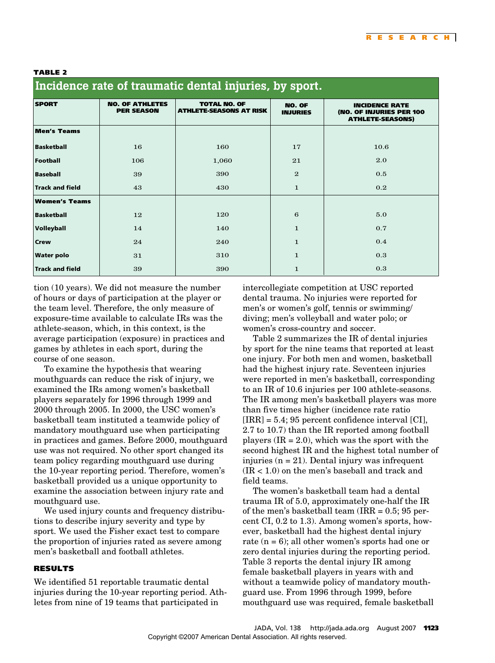#### **TABLE 2**

| incluence rate of traumatic defitar injuries, by sport. |                                             |                                                       |                                  |                                                                              |  |
|---------------------------------------------------------|---------------------------------------------|-------------------------------------------------------|----------------------------------|------------------------------------------------------------------------------|--|
| <b>SPORT</b>                                            | <b>NO. OF ATHLETES</b><br><b>PER SEASON</b> | <b>TOTAL NO. OF</b><br><b>ATHLETE-SEASONS AT RISK</b> | <b>NO. OF</b><br><b>INJURIES</b> | <b>INCIDENCE RATE</b><br>(NO. OF INJURIES PER 100<br><b>ATHLETE-SEASONS)</b> |  |
| <b>Men's Teams</b>                                      |                                             |                                                       |                                  |                                                                              |  |
| <b>Basketball</b>                                       | 16                                          | 160                                                   | 17                               | 10.6                                                                         |  |
| Football                                                | 106                                         | 1,060                                                 | 21                               | 2.0                                                                          |  |
| <b>Baseball</b>                                         | 39                                          | 390                                                   | $\mathbf{2}$                     | 0.5                                                                          |  |
| <b>Track and field</b>                                  | 43                                          | 430                                                   | $\mathbf{1}$                     | 0.2                                                                          |  |
| <b>Women's Teams</b>                                    |                                             |                                                       |                                  |                                                                              |  |
| <b>Basketball</b>                                       | 12                                          | 120                                                   | 6                                | 5.0                                                                          |  |
| <b>Volleyball</b>                                       | 14                                          | 140                                                   | $\mathbf{1}$                     | 0.7                                                                          |  |
| <b>Crew</b>                                             | 24                                          | 240                                                   | $\mathbf{1}$                     | 0.4                                                                          |  |
| <b>Water polo</b>                                       | 31                                          | 310                                                   | $\mathbf{1}$                     | 0.3                                                                          |  |
| <b>Track and field</b>                                  | 39                                          | 390                                                   | $\mathbf{1}$                     | 0.3                                                                          |  |

## **Incidence rate of traumatic dental injuries, by sport.**

tion (10 years). We did not measure the number of hours or days of participation at the player or the team level. Therefore, the only measure of exposure-time available to calculate IRs was the athlete-season, which, in this context, is the average participation (exposure) in practices and games by athletes in each sport, during the course of one season.

To examine the hypothesis that wearing mouthguards can reduce the risk of injury, we examined the IRs among women's basketball players separately for 1996 through 1999 and 2000 through 2005. In 2000, the USC women's basketball team instituted a teamwide policy of mandatory mouthguard use when participating in practices and games. Before 2000, mouthguard use was not required. No other sport changed its team policy regarding mouthguard use during the 10-year reporting period. Therefore, women's basketball provided us a unique opportunity to examine the association between injury rate and mouthguard use.

We used injury counts and frequency distributions to describe injury severity and type by sport. We used the Fisher exact test to compare the proportion of injuries rated as severe among men's basketball and football athletes.

#### **RESULTS**

We identified 51 reportable traumatic dental injuries during the 10-year reporting period. Athletes from nine of 19 teams that participated in

intercollegiate competition at USC reported dental trauma. No injuries were reported for men's or women's golf, tennis or swimming/ diving; men's volleyball and water polo; or women's cross-country and soccer.

Table 2 summarizes the IR of dental injuries by sport for the nine teams that reported at least one injury. For both men and women, basketball had the highest injury rate. Seventeen injuries were reported in men's basketball, corresponding to an IR of 10.6 injuries per 100 athlete-seasons. The IR among men's basketball players was more than five times higher (incidence rate ratio  $[IRR] = 5.4$ ; 95 percent confidence interval  $[CI]$ , 2.7 to 10.7) than the IR reported among football players  $(IR = 2.0)$ , which was the sport with the second highest IR and the highest total number of injuries  $(n = 21)$ . Dental injury was infrequent  $(IR < 1.0)$  on the men's baseball and track and field teams.

The women's basketball team had a dental trauma IR of 5.0, approximately one-half the IR of the men's basketball team (IRR  $= 0.5$ ; 95 percent CI, 0.2 to 1.3). Among women's sports, however, basketball had the highest dental injury rate  $(n = 6)$ ; all other women's sports had one or zero dental injuries during the reporting period. Table 3 reports the dental injury IR among female basketball players in years with and without a teamwide policy of mandatory mouthguard use. From 1996 through 1999, before mouthguard use was required, female basketball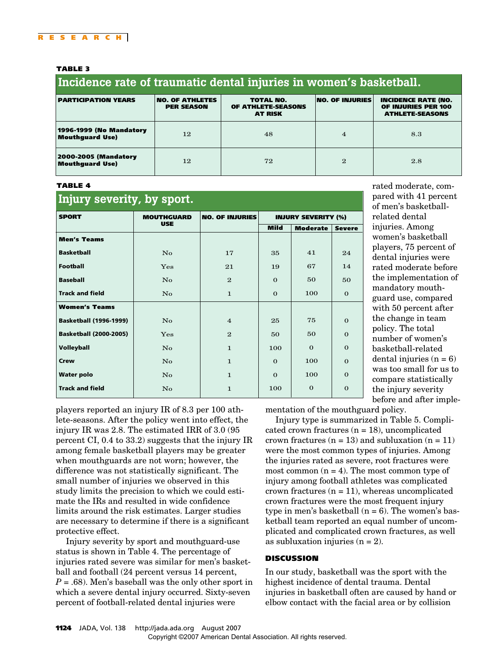#### **TABLE 3**

#### **Incidence rate of traumatic dental injuries in women's basketball.**

| <b>PARTICIPATION YEARS</b>                     | <b>NO. OF ATHLETES</b><br><b>PER SEASON</b> | <b>TOTAL NO.</b><br>OF ATHLETE-SEASONS<br><b>AT RISK</b> | <b>NO. OF INJURIES</b> | <b>INCIDENCE RATE (NO.</b><br>OF INJURIES PER 100<br><b>ATHLETE-SEASONS</b> |
|------------------------------------------------|---------------------------------------------|----------------------------------------------------------|------------------------|-----------------------------------------------------------------------------|
| 1996-1999 (No Mandatory<br>Mouthguard Use)     | 12                                          | 48                                                       | $\overline{4}$         | 8.3                                                                         |
| <b>2000-2005 (Mandatory</b><br>Mouthguard Use) | 12                                          | 72                                                       | $\mathbf{2}$           | 2.8                                                                         |

#### **TABLE 4**

| Injury severity, by sport.    |                        |                        |                            |                 |               |  |
|-------------------------------|------------------------|------------------------|----------------------------|-----------------|---------------|--|
| <b>SPORT</b>                  | <b>MOUTHGUARD</b>      | <b>NO. OF INJURIES</b> | <b>INJURY SEVERITY (%)</b> |                 |               |  |
|                               | <b>USE</b>             |                        | <b>Mild</b>                | <b>Moderate</b> | <b>Severe</b> |  |
| <b>Men's Teams</b>            |                        |                        |                            |                 |               |  |
| <b>Basketball</b>             | $\mathbf{N}\mathbf{o}$ | 17                     | 35                         | 41              | 24            |  |
| <b>Football</b>               | Yes                    | 21                     | 19                         | 67              | 14            |  |
| <b>Baseball</b>               | $\overline{N}_{0}$     | $\mathbf{2}$           | $\Omega$                   | 50              | 50            |  |
| <b>Track and field</b>        | $\mathbf{N}\mathbf{o}$ | $\mathbf{1}$           | $\Omega$                   | 100             | $\mathbf{0}$  |  |
| <b>Women's Teams</b>          |                        |                        |                            |                 |               |  |
| <b>Basketball (1996-1999)</b> | No                     | $\overline{4}$         | 25                         | 75              | $\Omega$      |  |
| <b>Basketball (2000-2005)</b> | Yes                    | $\mathbf{2}$           | 50                         | 50              | $\mathbf 0$   |  |
| <b>Volleyball</b>             | $\mathbf{N}\mathbf{o}$ | $\mathbf{1}$           | 100                        | $\Omega$        | $\Omega$      |  |
| <b>Crew</b>                   | $\overline{N}_{0}$     | $\mathbf{1}$           | $\Omega$                   | 100             | $\Omega$      |  |
| <b>Water polo</b>             | $\mathbf{N}\mathbf{o}$ | $\mathbf{1}$           | $\Omega$                   | 100             | $\Omega$      |  |
| <b>Track and field</b>        | $\mathbf{N}\mathbf{o}$ | $\mathbf{1}$           | 100                        | $\Omega$        | $\Omega$      |  |

rated moderate, compared with 41 percent of men's basketballrelated dental injuries. Among women's basketball players, 75 percent of dental injuries were rated moderate before the implementation of mandatory mouthguard use, compared with 50 percent after the change in team policy. The total number of women's basketball-related dental injuries  $(n = 6)$ was too small for us to compare statistically the injury severity before and after imple-

players reported an injury IR of 8.3 per 100 athlete-seasons. After the policy went into effect, the injury IR was 2.8. The estimated IRR of 3.0 (95 percent CI, 0.4 to 33.2) suggests that the injury IR among female basketball players may be greater when mouthguards are not worn; however, the difference was not statistically significant. The small number of injuries we observed in this study limits the precision to which we could estimate the IRs and resulted in wide confidence limits around the risk estimates. Larger studies are necessary to determine if there is a significant protective effect.

Injury severity by sport and mouthguard-use status is shown in Table 4. The percentage of injuries rated severe was similar for men's basketball and football (24 percent versus 14 percent,  $P = .68$ ). Men's baseball was the only other sport in which a severe dental injury occurred. Sixty-seven percent of football-related dental injuries were

mentation of the mouthguard policy.

Injury type is summarized in Table 5. Complicated crown fractures  $(n = 18)$ , uncomplicated crown fractures  $(n = 13)$  and subluxation  $(n = 11)$ were the most common types of injuries. Among the injuries rated as severe, root fractures were most common  $(n = 4)$ . The most common type of injury among football athletes was complicated crown fractures  $(n = 11)$ , whereas uncomplicated crown fractures were the most frequent injury type in men's basketball  $(n = 6)$ . The women's basketball team reported an equal number of uncomplicated and complicated crown fractures, as well as subluxation injuries  $(n = 2)$ .

#### **DISCUSSION**

In our study, basketball was the sport with the highest incidence of dental trauma. Dental injuries in basketball often are caused by hand or elbow contact with the facial area or by collision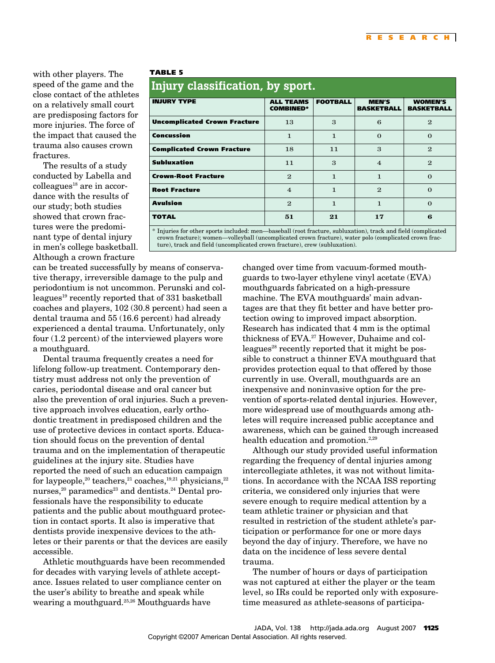with other players. The speed of the game and the close contact of the athletes on a relatively small court are predisposing factors for more injuries. The force of the impact that caused the trauma also causes crown **fractures** 

The results of a study conducted by Labella and  $\text{colle}$ agues<sup>18</sup> are in accordance with the results of our study; both studies showed that crown fractures were the predominant type of dental injury in men's college basketball. Although a crown fracture

#### **TABLE 5**

### **Injury classification, by sport.**

| . .<br>.                            |                                      |                 |                                   |                                     |  |
|-------------------------------------|--------------------------------------|-----------------|-----------------------------------|-------------------------------------|--|
| <b>INJURY TYPE</b>                  | <b>ALL TEAMS</b><br><b>COMBINED*</b> | <b>FOOTBALL</b> | <b>MEN'S</b><br><b>BASKETBALL</b> | <b>WOMEN'S</b><br><b>BASKETBALL</b> |  |
| <b>Uncomplicated Crown Fracture</b> | 13                                   | 3               | 6                                 | $\mathbf{2}$                        |  |
| Concussion                          | 1                                    | 1               | $\Omega$                          | $\Omega$                            |  |
| <b>Complicated Crown Fracture</b>   | 18                                   | 11              | $\mathbf{a}$                      | $\mathbf{2}$                        |  |
| <b>Subluxation</b>                  | 11                                   | 3               | $\overline{4}$                    | $\mathbf{2}$                        |  |
| <b>Crown-Root Fracture</b>          | $\mathbf{2}$                         | 1               | $\mathbf{1}$                      | $\Omega$                            |  |
| <b>Root Fracture</b>                | $\overline{4}$                       | 1               | $\mathbf{2}$                      | $\Omega$                            |  |
| <b>Avulsion</b>                     | $\mathbf{2}$                         | 1               | 1                                 | $\Omega$                            |  |
| <b>TOTAL</b>                        | 51                                   | 21              | 17                                | 6                                   |  |

\* Injuries for other sports included: men—baseball (root fracture, subluxation), track and field (complicated crown fracture); women—volleyball (uncomplicated crown fracture), water polo (complicated crown fracture), track and field (uncomplicated crown fracture), crew (subluxation).

can be treated successfully by means of conservative therapy, irreversible damage to the pulp and periodontium is not uncommon. Perunski and colleagues<sup>19</sup> recently reported that of 331 basketball coaches and players, 102 (30.8 percent) had seen a dental trauma and 55 (16.6 percent) had already experienced a dental trauma. Unfortunately, only four (1.2 percent) of the interviewed players wore a mouthguard.

Dental trauma frequently creates a need for lifelong follow-up treatment. Contemporary dentistry must address not only the prevention of caries, periodontal disease and oral cancer but also the prevention of oral injuries. Such a preventive approach involves education, early orthodontic treatment in predisposed children and the use of protective devices in contact sports. Education should focus on the prevention of dental trauma and on the implementation of therapeutic guidelines at the injury site. Studies have reported the need of such an education campaign for laypeople,<sup>20</sup> teachers,<sup>21</sup> coaches,<sup>19,21</sup> physicians,<sup>22</sup> nurses, $20$  paramedics<sup>23</sup> and dentists.<sup>24</sup> Dental professionals have the responsibility to educate patients and the public about mouthguard protection in contact sports. It also is imperative that dentists provide inexpensive devices to the athletes or their parents or that the devices are easily accessible.

Athletic mouthguards have been recommended for decades with varying levels of athlete acceptance. Issues related to user compliance center on the user's ability to breathe and speak while wearing a mouthguard.<sup>25,26</sup> Mouthguards have

changed over time from vacuum-formed mouthguards to two-layer ethylene vinyl acetate (EVA) mouthguards fabricated on a high-pressure machine. The EVA mouthguards' main advantages are that they fit better and have better protection owing to improved impact absorption. Research has indicated that 4 mm is the optimal thickness of EVA.<sup>27</sup> However, Duhaime and colleagues<sup>28</sup> recently reported that it might be possible to construct a thinner EVA mouthguard that provides protection equal to that offered by those currently in use. Overall, mouthguards are an inexpensive and noninvasive option for the prevention of sports-related dental injuries. However, more widespread use of mouthguards among athletes will require increased public acceptance and awareness, which can be gained through increased health education and promotion.<sup>2,29</sup>

Although our study provided useful information regarding the frequency of dental injuries among intercollegiate athletes, it was not without limitations. In accordance with the NCAA ISS reporting criteria, we considered only injuries that were severe enough to require medical attention by a team athletic trainer or physician and that resulted in restriction of the student athlete's participation or performance for one or more days beyond the day of injury. Therefore, we have no data on the incidence of less severe dental trauma.

The number of hours or days of participation was not captured at either the player or the team level, so IRs could be reported only with exposuretime measured as athlete-seasons of participa-